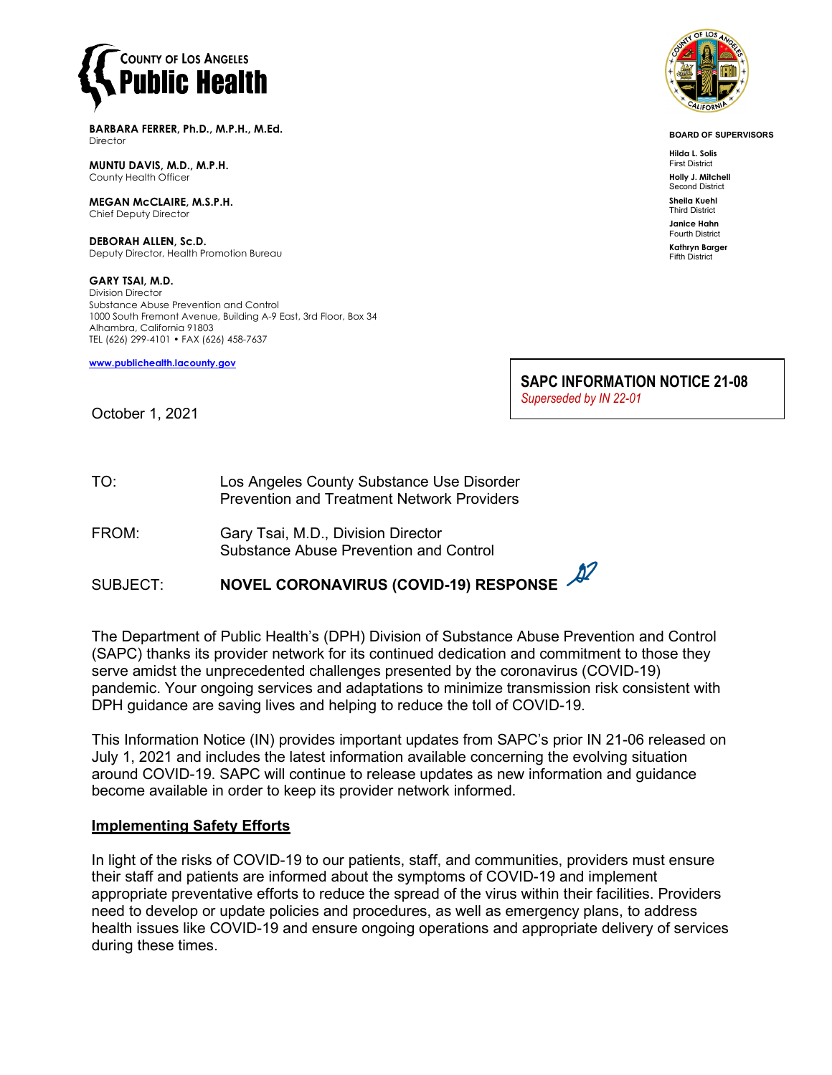

**BARBARA FERRER, Ph.D., M.P.H., M.Ed. Director** 

**MUNTU DAVIS, M.D., M.P.H.** County Health Officer

**MEGAN McCLAIRE, M.S.P.H.** Chief Deputy Director

**DEBORAH ALLEN, Sc.D.** Deputy Director, Health Promotion Bureau

**GARY TSAI, M.D.** Division Director Substance Abuse Prevention and Control 1000 South Fremont Avenue, Building A-9 East, 3rd Floor, Box 34 Alhambra, California 91803 TEL (626) 299-4101 • FAX (626) 458-7637

**[www.publichealth.lacounty.gov](http://www.publichealth.lacounty.gov/)**



**BOARD OF SUPERVISORS**

**Hilda L. Solis** First District **Holly J. Mitchell**

Second District **Sheila Kuehl**

Third District **Janice Hahn**

Fourth District

**Kathryn Barger** Fifth District

**SAPC INFORMATION NOTICE 21-08**

*Superseded by IN 22-01* 

October 1, 2021

TO: Los Angeles County Substance Use Disorder Prevention and Treatment Network Providers

FROM: Gary Tsai, M.D., Division Director Substance Abuse Prevention and Control

SUBJECT: **NOVEL CORONAVIRUS (COVID-19) RESPONSE**

The Department of Public Health's (DPH) Division of Substance Abuse Prevention and Control (SAPC) thanks its provider network for its continued dedication and commitment to those they serve amidst the unprecedented challenges presented by the coronavirus (COVID-19) pandemic. Your ongoing services and adaptations to minimize transmission risk consistent with DPH guidance are saving lives and helping to reduce the toll of COVID-19.

This Information Notice (IN) provides important updates from SAPC's prior IN 21-06 released on July 1, 2021 and includes the latest information available concerning the evolving situation around COVID-19. SAPC will continue to release updates as new information and guidance become available in order to keep its provider network informed.

### **Implementing Safety Efforts**

In light of the risks of COVID-19 to our patients, staff, and communities, providers must ensure their staff and patients are informed about the symptoms of COVID-19 and implement appropriate preventative efforts to reduce the spread of the virus within their facilities. Providers need to develop or update policies and procedures, as well as emergency plans, to address health issues like COVID-19 and ensure ongoing operations and appropriate delivery of services during these times.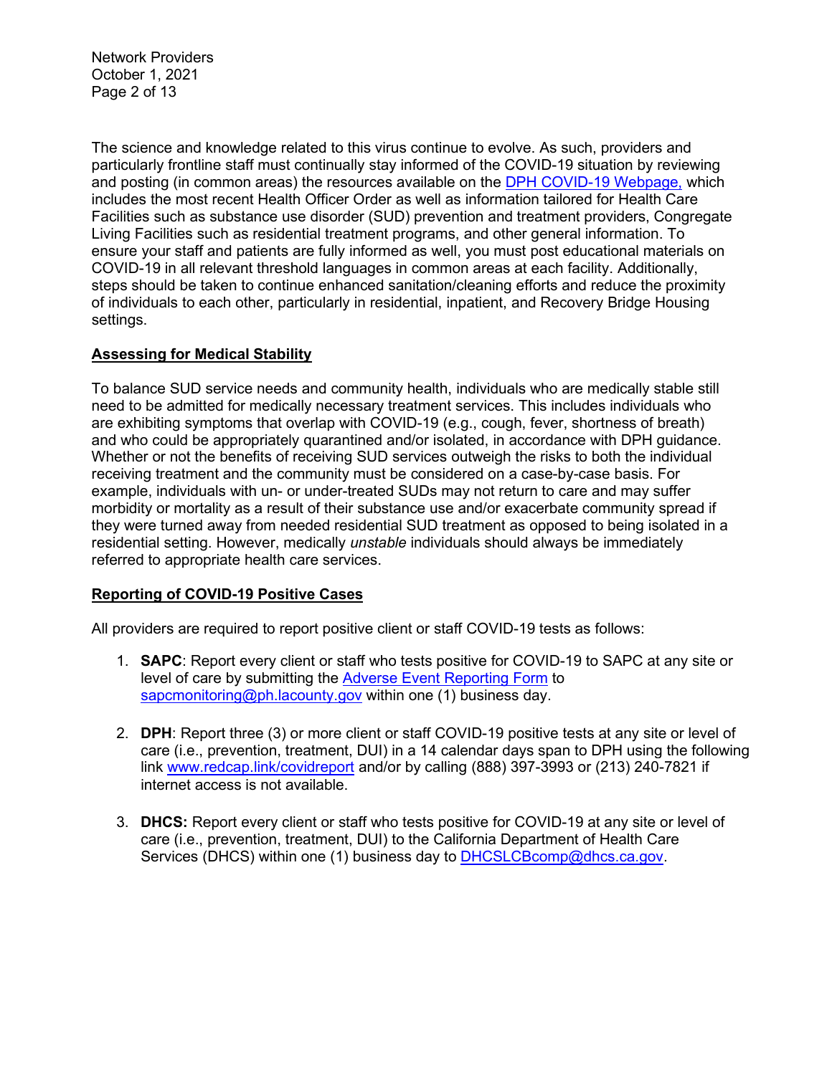Network Providers October 1, 2021 Page 2 of 13

The science and knowledge related to this virus continue to evolve. As such, providers and particularly frontline staff must continually stay informed of the COVID-19 situation by reviewing and posting (in common areas) the resources available on the [DPH COVID-19 Webpage,](http://publichealth.lacounty.gov/media/Coronavirus/) which includes the most recent Health Officer Order as well as information tailored for Health Care Facilities such as substance use disorder (SUD) prevention and treatment providers, Congregate Living Facilities such as residential treatment programs, and other general information. To ensure your staff and patients are fully informed as well, you must post educational materials on COVID-19 in all relevant threshold languages in common areas at each facility. Additionally, steps should be taken to continue enhanced sanitation/cleaning efforts and reduce the proximity of individuals to each other, particularly in residential, inpatient, and Recovery Bridge Housing settings.

## **Assessing for Medical Stability**

To balance SUD service needs and community health, individuals who are medically stable still need to be admitted for medically necessary treatment services. This includes individuals who are exhibiting symptoms that overlap with COVID-19 (e.g., cough, fever, shortness of breath) and who could be appropriately quarantined and/or isolated, in accordance with DPH guidance. Whether or not the benefits of receiving SUD services outweigh the risks to both the individual receiving treatment and the community must be considered on a case-by-case basis. For example, individuals with un- or under-treated SUDs may not return to care and may suffer morbidity or mortality as a result of their substance use and/or exacerbate community spread if they were turned away from needed residential SUD treatment as opposed to being isolated in a residential setting. However, medically *unstable* individuals should always be immediately referred to appropriate health care services.

### **Reporting of COVID-19 Positive Cases**

All providers are required to report positive client or staff COVID-19 tests as follows:

- 1. **SAPC**: Report every client or staff who tests positive for COVID-19 to SAPC at any site or level of care by submitting the [Adverse Event Reporting Form](http://publichealth.lacounty.gov/sapc/NetworkProviders/ClinicalForms/AQI/AdverseEventReportingForm.pdf) to [sapcmonitoring@ph.lacounty.gov](mailto:sapcmonitoring@ph.lacounty.gov) within one (1) business day.
- 2. **DPH**: Report three (3) or more client or staff COVID-19 positive tests at any site or level of care (i.e., prevention, treatment, DUI) in a 14 calendar days span to DPH using the following link [www.redcap.link/covidreport](http://www.redcap.link/covidreport) and/or by calling (888) 397-3993 or (213) 240-7821 if internet access is not available.
- 3. **DHCS:** Report every client or staff who tests positive for COVID-19 at any site or level of care (i.e., prevention, treatment, DUI) to the California Department of Health Care Services (DHCS) within one (1) business day to [DHCSLCBcomp@dhcs.ca.gov.](mailto:DHCSLCBcomp@dhcs.ca.gov)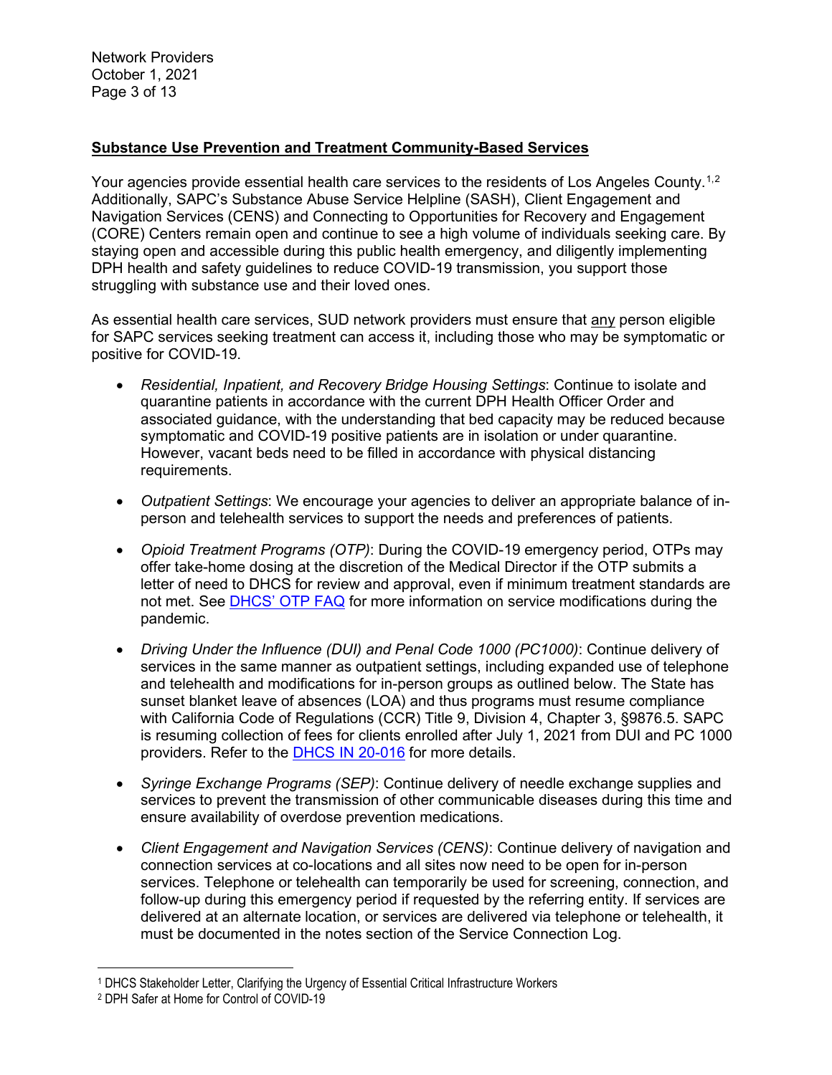Network Providers October 1, 2021 Page 3 of 13

### **Substance Use Prevention and Treatment Community-Based Services**

Your agencies provide essential health care services to the residents of Los Angeles County.<sup>[1,](#page-2-0)[2](#page-2-1)</sup> Additionally, SAPC's Substance Abuse Service Helpline (SASH), Client Engagement and Navigation Services (CENS) and Connecting to Opportunities for Recovery and Engagement (CORE) Centers remain open and continue to see a high volume of individuals seeking care. By staying open and accessible during this public health emergency, and diligently implementing DPH health and safety guidelines to reduce COVID-19 transmission, you support those struggling with substance use and their loved ones.

As essential health care services, SUD network providers must ensure that any person eligible for SAPC services seeking treatment can access it, including those who may be symptomatic or positive for COVID-19.

- *Residential, Inpatient, and Recovery Bridge Housing Settings*: Continue to isolate and quarantine patients in accordance with the current DPH Health Officer Order and associated guidance, with the understanding that bed capacity may be reduced because symptomatic and COVID-19 positive patients are in isolation or under quarantine. However, vacant beds need to be filled in accordance with physical distancing requirements.
- *Outpatient Settings*: We encourage your agencies to deliver an appropriate balance of inperson and telehealth services to support the needs and preferences of patients.
- *Opioid Treatment Programs (OTP)*: During the COVID-19 emergency period, OTPs may offer take-home dosing at the discretion of the Medical Director if the OTP submits a letter of need to DHCS for review and approval, even if minimum treatment standards are not met. See [DHCS' OTP FAQ](https://www.dhcs.ca.gov/formsandpubs/Documents/Narcotic-Treatment-Program-FAQs-Updated-7-8-2021.pdf) for more information on service modifications during the pandemic.
- *Driving Under the Influence (DUI) and Penal Code 1000 (PC1000)*: Continue delivery of services in the same manner as outpatient settings, including expanded use of telephone and telehealth and modifications for in-person groups as outlined below. The State has sunset blanket leave of absences (LOA) and thus programs must resume compliance with California Code of Regulations (CCR) Title 9, Division 4, Chapter 3, §9876.5. SAPC is resuming collection of fees for clients enrolled after July 1, 2021 from DUI and PC 1000 providers. Refer to the **DHCS IN 20-016** for more details.
- *Syringe Exchange Programs (SEP)*: Continue delivery of needle exchange supplies and services to prevent the transmission of other communicable diseases during this time and ensure availability of overdose prevention medications.
- *Client Engagement and Navigation Services (CENS)*: Continue delivery of navigation and connection services at co-locations and all sites now need to be open for in-person services. Telephone or telehealth can temporarily be used for screening, connection, and follow-up during this emergency period if requested by the referring entity. If services are delivered at an alternate location, or services are delivered via telephone or telehealth, it must be documented in the notes section of the Service Connection Log.

<span id="page-2-0"></span><sup>1</sup> DHCS Stakeholder Letter, Clarifying the Urgency of Essential Critical Infrastructure Workers

<span id="page-2-1"></span><sup>2</sup> DPH Safer at Home for Control of COVID-19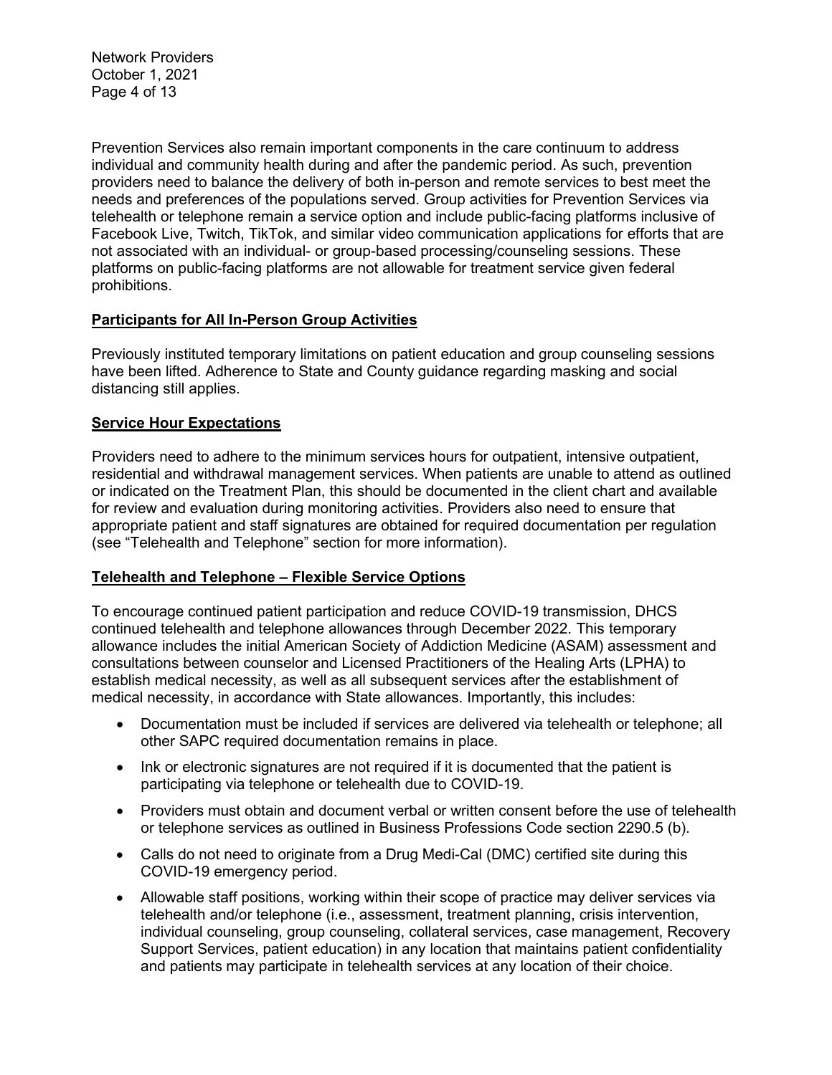Network Providers October 1, 2021 Page 4 of 13

Prevention Services also remain important components in the care continuum to address individual and community health during and after the pandemic period. As such, prevention providers need to balance the delivery of both in-person and remote services to best meet the needs and preferences of the populations served. Group activities for Prevention Services via telehealth or telephone remain a service option and include public-facing platforms inclusive of Facebook Live, Twitch, TikTok, and similar video communication applications for efforts that are not associated with an individual- or group-based processing/counseling sessions. These platforms on public-facing platforms are not allowable for treatment service given federal prohibitions.

### **Participants for All In-Person Group Activities**

Previously instituted temporary limitations on patient education and group counseling sessions have been lifted. Adherence to State and County guidance regarding masking and social distancing still applies.

### **Service Hour Expectations**

Providers need to adhere to the minimum services hours for outpatient, intensive outpatient, residential and withdrawal management services. When patients are unable to attend as outlined or indicated on the Treatment Plan, this should be documented in the client chart and available for review and evaluation during monitoring activities. Providers also need to ensure that appropriate patient and staff signatures are obtained for required documentation per regulation (see "Telehealth and Telephone" section for more information).

### **Telehealth and Telephone – Flexible Service Options**

To encourage continued patient participation and reduce COVID-19 transmission, DHCS continued telehealth and telephone allowances through December 2022. This temporary allowance includes the initial American Society of Addiction Medicine (ASAM) assessment and consultations between counselor and Licensed Practitioners of the Healing Arts (LPHA) to establish medical necessity, as well as all subsequent services after the establishment of medical necessity, in accordance with State allowances. Importantly, this includes:

- Documentation must be included if services are delivered via telehealth or telephone; all other SAPC required documentation remains in place.
- Ink or electronic signatures are not required if it is documented that the patient is participating via telephone or telehealth due to COVID-19.
- Providers must obtain and document verbal or written consent before the use of telehealth or telephone services as outlined in Business Professions Code section 2290.5 (b).
- Calls do not need to originate from a Drug Medi-Cal (DMC) certified site during this COVID-19 emergency period.
- Allowable staff positions, working within their scope of practice may deliver services via telehealth and/or telephone (i.e., assessment, treatment planning, crisis intervention, individual counseling, group counseling, collateral services, case management, Recovery Support Services, patient education) in any location that maintains patient confidentiality and patients may participate in telehealth services at any location of their choice.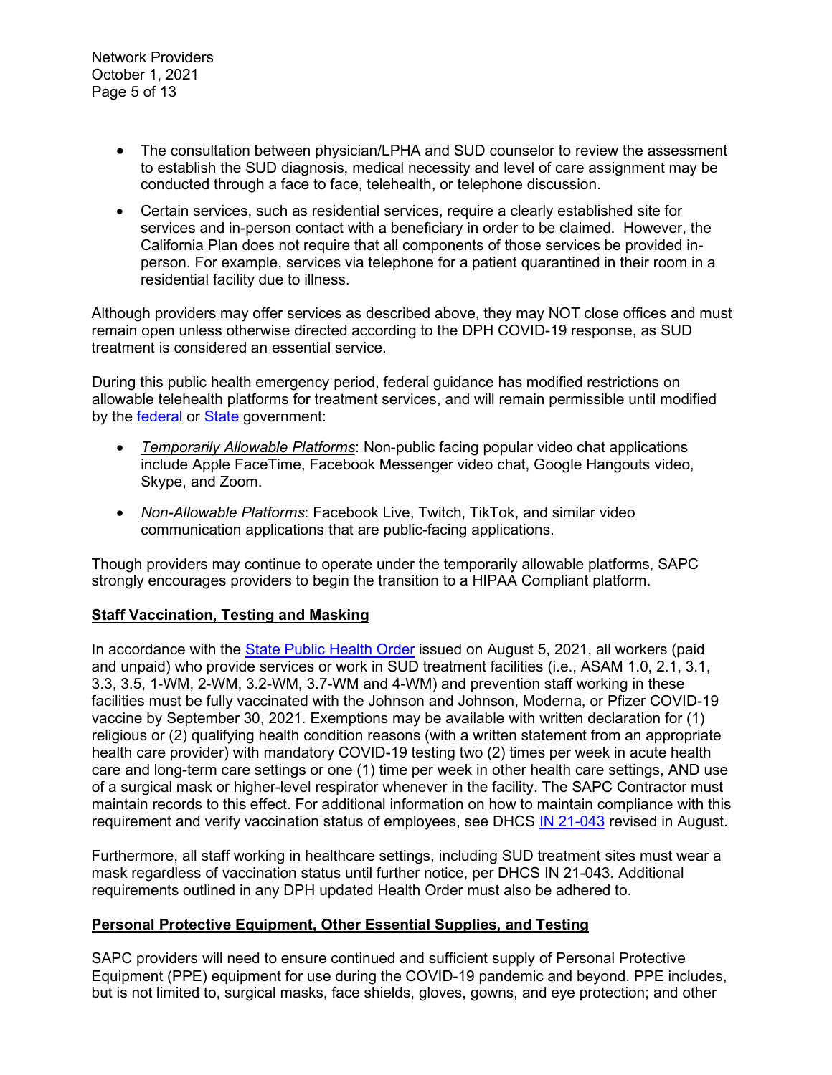- The consultation between physician/LPHA and SUD counselor to review the assessment to establish the SUD diagnosis, medical necessity and level of care assignment may be conducted through a face to face, telehealth, or telephone discussion.
- Certain services, such as residential services, require a clearly established site for services and in-person contact with a beneficiary in order to be claimed. However, the California Plan does not require that all components of those services be provided inperson. For example, services via telephone for a patient quarantined in their room in a residential facility due to illness.

Although providers may offer services as described above, they may NOT close offices and must remain open unless otherwise directed according to the DPH COVID-19 response, as SUD treatment is considered an essential service.

During this public health emergency period, federal guidance has modified restrictions on allowable telehealth platforms for treatment services, and will remain permissible until modified by the [federal](https://www.hhs.gov/hipaa/for-professionals/special-topics/emergency-preparedness/notification-enforcement-discretion-telehealth/index.html) or [State](https://www.dhcs.ca.gov/services/Documents/Weekly-All-BH-Provider-Call-Brief-Summary-07-07-2021.pdf) government:

- *Temporarily Allowable Platforms*: Non-public facing popular video chat applications include Apple FaceTime, Facebook Messenger video chat, Google Hangouts video, Skype, and Zoom.
- *Non-Allowable Platforms*: Facebook Live, Twitch, TikTok, and similar video communication applications that are public-facing applications.

Though providers may continue to operate under the temporarily allowable platforms, SAPC strongly encourages providers to begin the transition to a HIPAA Compliant platform.

## **Staff Vaccination, Testing and Masking**

In accordance with the [State Public Health Order](https://www.cdph.ca.gov/Programs/CID/DCDC/Pages/COVID-19/Order-of-the-State-Public-Health-Officer-Health-Care-Worker-Vaccine-Requirement.aspx) issued on August 5, 2021, all workers (paid and unpaid) who provide services or work in SUD treatment facilities (i.e., ASAM 1.0, 2.1, 3.1, 3.3, 3.5, 1-WM, 2-WM, 3.2-WM, 3.7-WM and 4-WM) and prevention staff working in these facilities must be fully vaccinated with the Johnson and Johnson, Moderna, or Pfizer COVID-19 vaccine by September 30, 2021. Exemptions may be available with written declaration for (1) religious or (2) qualifying health condition reasons (with a written statement from an appropriate health care provider) with mandatory COVID-19 testing two (2) times per week in acute health care and long-term care settings or one (1) time per week in other health care settings, AND use of a surgical mask or higher-level respirator whenever in the facility. The SAPC Contractor must maintain records to this effect. For additional information on how to maintain compliance with this requirement and verify vaccination status of employees, see DHCS [IN 21-043](https://www.dhcs.ca.gov/formsandpubs/Documents/BHIN-21-043.pdf) revised in August.

Furthermore, all staff working in healthcare settings, including SUD treatment sites must wear a mask regardless of vaccination status until further notice, per DHCS IN 21-043. Additional requirements outlined in any DPH updated Health Order must also be adhered to.

### **Personal Protective Equipment, Other Essential Supplies, and Testing**

SAPC providers will need to ensure continued and sufficient supply of Personal Protective Equipment (PPE) equipment for use during the COVID-19 pandemic and beyond. PPE includes, but is not limited to, surgical masks, face shields, gloves, gowns, and eye protection; and other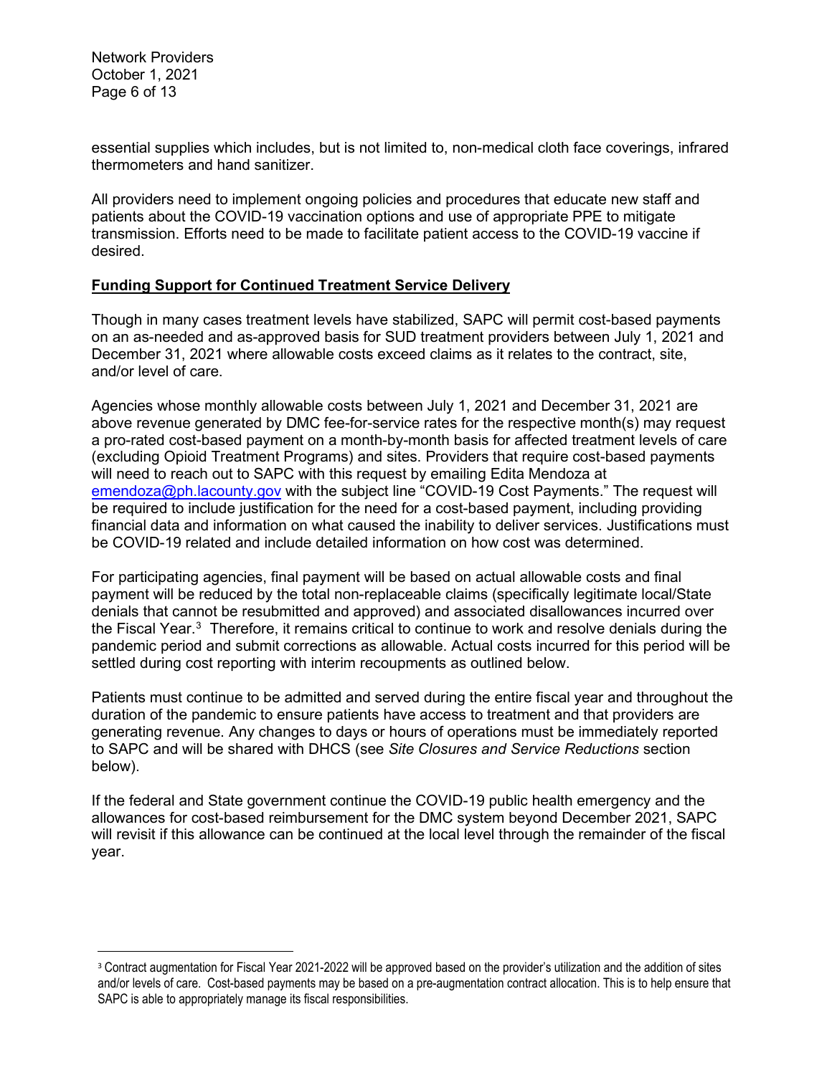Network Providers October 1, 2021 Page 6 of 13

essential supplies which includes, but is not limited to, non-medical cloth face coverings, infrared thermometers and hand sanitizer.

All providers need to implement ongoing policies and procedures that educate new staff and patients about the COVID-19 vaccination options and use of appropriate PPE to mitigate transmission. Efforts need to be made to facilitate patient access to the COVID-19 vaccine if desired.

### **Funding Support for Continued Treatment Service Delivery**

Though in many cases treatment levels have stabilized, SAPC will permit cost-based payments on an as-needed and as-approved basis for SUD treatment providers between July 1, 2021 and December 31, 2021 where allowable costs exceed claims as it relates to the contract, site, and/or level of care.

Agencies whose monthly allowable costs between July 1, 2021 and December 31, 2021 are above revenue generated by DMC fee-for-service rates for the respective month(s) may request a pro-rated cost-based payment on a month-by-month basis for affected treatment levels of care (excluding Opioid Treatment Programs) and sites. Providers that require cost-based payments will need to reach out to SAPC with this request by emailing Edita Mendoza at [emendoza@ph.lacounty.gov](mailto:emendoza@ph.lacounty.gov) with the subject line "COVID-19 Cost Payments." The request will be required to include justification for the need for a cost-based payment, including providing financial data and information on what caused the inability to deliver services. Justifications must be COVID-19 related and include detailed information on how cost was determined.

For participating agencies, final payment will be based on actual allowable costs and final payment will be reduced by the total non-replaceable claims (specifically legitimate local/State denials that cannot be resubmitted and approved) and associated disallowances incurred over the Fiscal Year. $^3$  $^3$  Therefore, it remains critical to continue to work and resolve denials during the pandemic period and submit corrections as allowable. Actual costs incurred for this period will be settled during cost reporting with interim recoupments as outlined below.

Patients must continue to be admitted and served during the entire fiscal year and throughout the duration of the pandemic to ensure patients have access to treatment and that providers are generating revenue. Any changes to days or hours of operations must be immediately reported to SAPC and will be shared with DHCS (see *Site Closures and Service Reductions* section below).

If the federal and State government continue the COVID-19 public health emergency and the allowances for cost-based reimbursement for the DMC system beyond December 2021, SAPC will revisit if this allowance can be continued at the local level through the remainder of the fiscal year.

<span id="page-5-0"></span><sup>&</sup>lt;sup>3</sup> Contract augmentation for Fiscal Year 2021-2022 will be approved based on the provider's utilization and the addition of sites and/or levels of care. Cost-based payments may be based on a pre-augmentation contract allocation. This is to help ensure that SAPC is able to appropriately manage its fiscal responsibilities.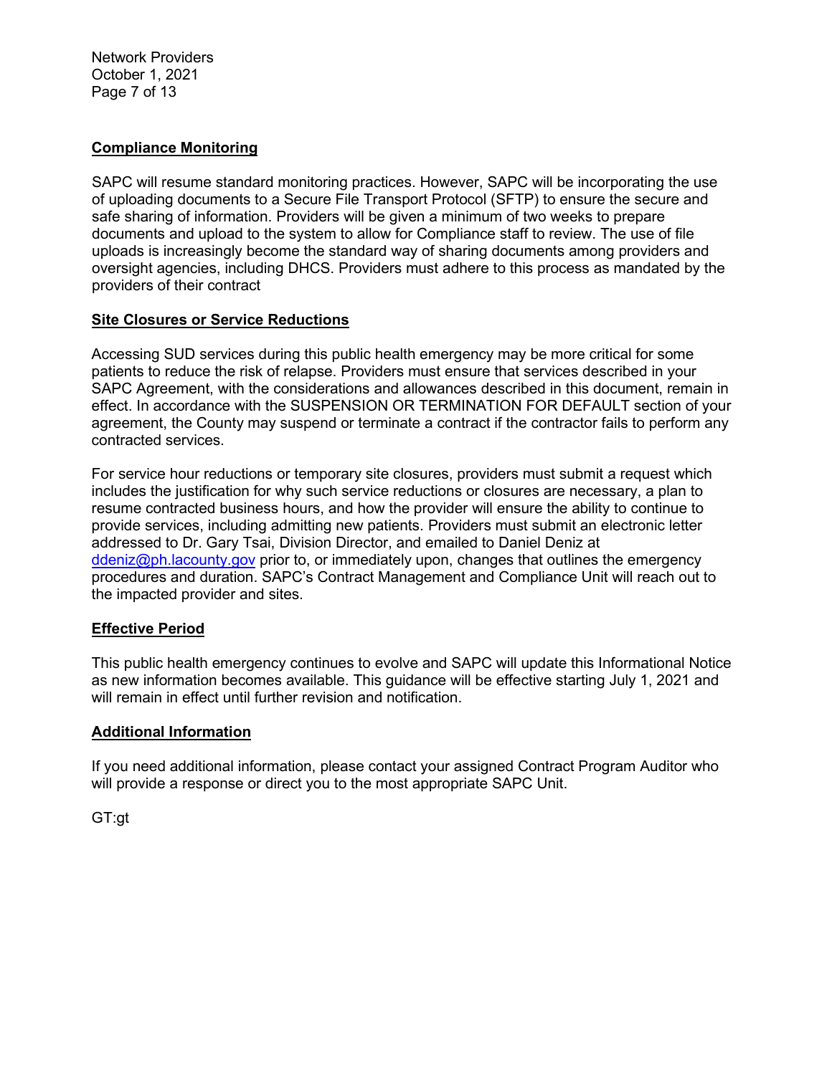Network Providers October 1, 2021 Page 7 of 13

### **Compliance Monitoring**

SAPC will resume standard monitoring practices. However, SAPC will be incorporating the use of uploading documents to a Secure File Transport Protocol (SFTP) to ensure the secure and safe sharing of information. Providers will be given a minimum of two weeks to prepare documents and upload to the system to allow for Compliance staff to review. The use of file uploads is increasingly become the standard way of sharing documents among providers and oversight agencies, including DHCS. Providers must adhere to this process as mandated by the providers of their contract

#### **Site Closures or Service Reductions**

Accessing SUD services during this public health emergency may be more critical for some patients to reduce the risk of relapse. Providers must ensure that services described in your SAPC Agreement, with the considerations and allowances described in this document, remain in effect. In accordance with the SUSPENSION OR TERMINATION FOR DEFAULT section of your agreement, the County may suspend or terminate a contract if the contractor fails to perform any contracted services.

For service hour reductions or temporary site closures, providers must submit a request which includes the justification for why such service reductions or closures are necessary, a plan to resume contracted business hours, and how the provider will ensure the ability to continue to provide services, including admitting new patients. Providers must submit an electronic letter addressed to Dr. Gary Tsai, Division Director, and emailed to Daniel Deniz at [ddeniz@ph.lacounty.gov](mailto:ddeniz@ph.lacounty.gov) prior to, or immediately upon, changes that outlines the emergency procedures and duration. SAPC's Contract Management and Compliance Unit will reach out to the impacted provider and sites.

### **Effective Period**

This public health emergency continues to evolve and SAPC will update this Informational Notice as new information becomes available. This guidance will be effective starting July 1, 2021 and will remain in effect until further revision and notification.

### **Additional Information**

If you need additional information, please contact your assigned Contract Program Auditor who will provide a response or direct you to the most appropriate SAPC Unit.

GT:gt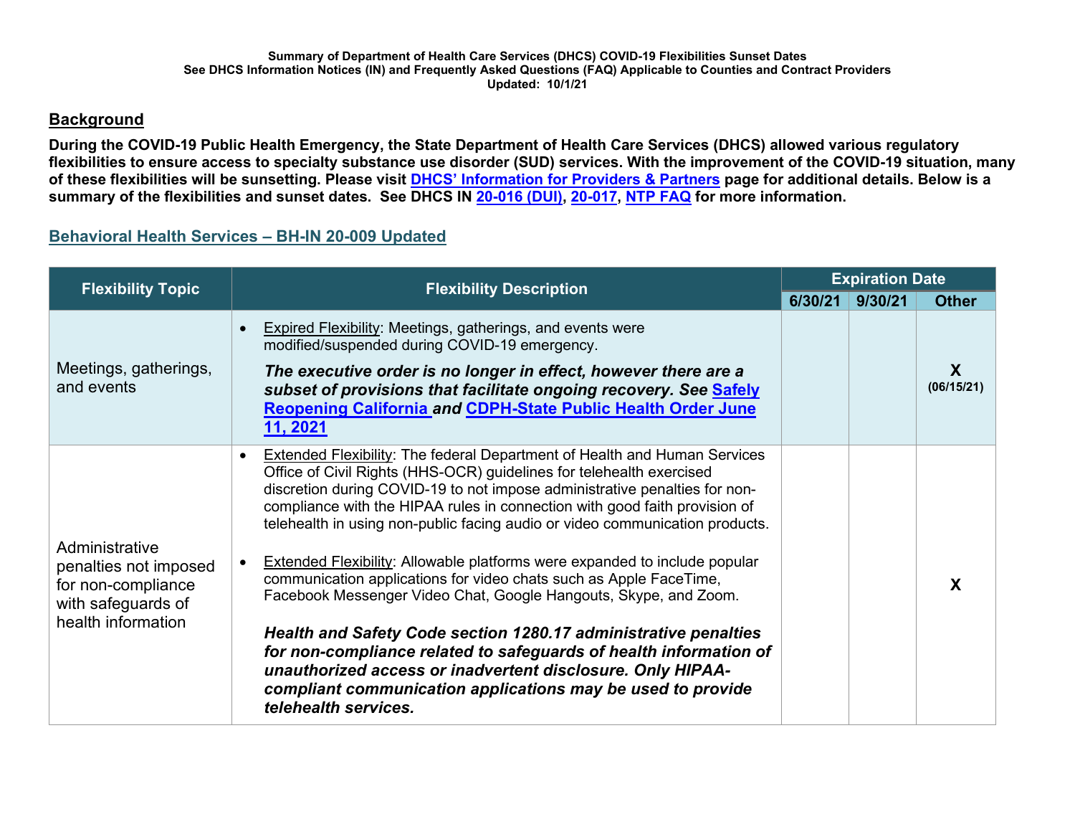## **Background**

**During the COVID-19 Public Health Emergency, the State Department of Health Care Services (DHCS) allowed various regulatory flexibilities to ensure access to specialty substance use disorder (SUD) services. With the improvement of the COVID-19 situation, many of these flexibilities will be sunsetting. Please visit [DHCS' Information for Providers & Partners](https://www.dhcs.ca.gov/Pages/COVID-19-Pro-Part.aspx) page for additional details. Below is a summary of the flexibilities and sunset dates. See DHCS IN [20-016 \(DUI\),](https://www.dhcs.ca.gov/formsandpubs/Documents/BHIN-20-016-Updated-7-8-2021.pdf) [20-017,](https://www.dhcs.ca.gov/formsandpubs/Documents/BHIN-20-017-Updated-7-8-2021.pdf) [NTP FAQ](https://www.dhcs.ca.gov/formsandpubs/Documents/Narcotic-Treatment-Program-FAQs-Updated-7-8-2021.pdf) for more information.** 

# **Behavioral Health Services – BH-IN 20-009 Updated**

| <b>Flexibility Topic</b>                                                                                  | <b>Flexibility Description</b>                                                                                                                                                                                                                                                                                                                                                                                                                                                                                                                                                                                                                                                                                                                                                                                                                                                                                                   | <b>Expiration Date</b> |         |                 |
|-----------------------------------------------------------------------------------------------------------|----------------------------------------------------------------------------------------------------------------------------------------------------------------------------------------------------------------------------------------------------------------------------------------------------------------------------------------------------------------------------------------------------------------------------------------------------------------------------------------------------------------------------------------------------------------------------------------------------------------------------------------------------------------------------------------------------------------------------------------------------------------------------------------------------------------------------------------------------------------------------------------------------------------------------------|------------------------|---------|-----------------|
|                                                                                                           |                                                                                                                                                                                                                                                                                                                                                                                                                                                                                                                                                                                                                                                                                                                                                                                                                                                                                                                                  | 6/30/21                | 9/30/21 | <b>Other</b>    |
| Meetings, gatherings,<br>and events                                                                       | <b>Expired Flexibility: Meetings, gatherings, and events were</b><br>modified/suspended during COVID-19 emergency.<br>The executive order is no longer in effect, however there are a<br>subset of provisions that facilitate ongoing recovery. See Safely<br><b>Reopening California and CDPH-State Public Health Order June</b><br>11, 2021                                                                                                                                                                                                                                                                                                                                                                                                                                                                                                                                                                                    |                        |         | X<br>(06/15/21) |
| Administrative<br>penalties not imposed<br>for non-compliance<br>with safeguards of<br>health information | <b>Extended Flexibility: The federal Department of Health and Human Services</b><br>Office of Civil Rights (HHS-OCR) guidelines for telehealth exercised<br>discretion during COVID-19 to not impose administrative penalties for non-<br>compliance with the HIPAA rules in connection with good faith provision of<br>telehealth in using non-public facing audio or video communication products.<br><b>Extended Flexibility: Allowable platforms were expanded to include popular</b><br>communication applications for video chats such as Apple FaceTime,<br>Facebook Messenger Video Chat, Google Hangouts, Skype, and Zoom.<br>Health and Safety Code section 1280.17 administrative penalties<br>for non-compliance related to safeguards of health information of<br>unauthorized access or inadvertent disclosure. Only HIPAA-<br>compliant communication applications may be used to provide<br>telehealth services. |                        |         |                 |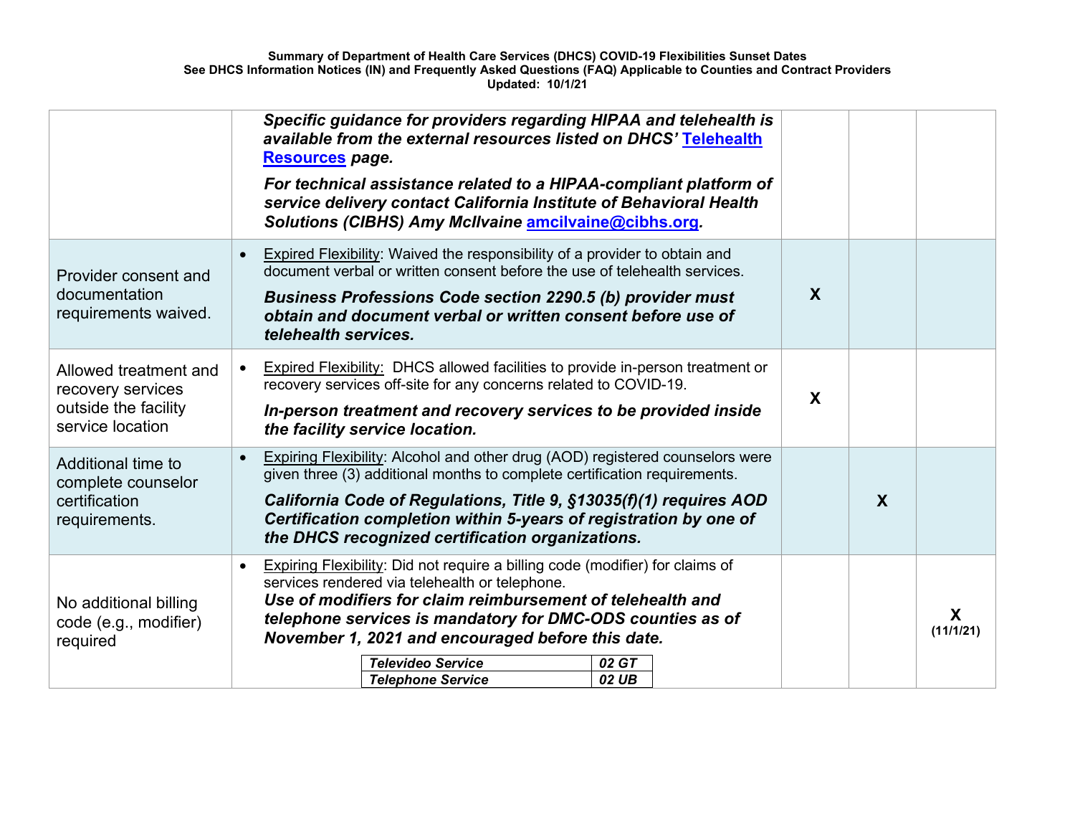|                                                                                        | Specific guidance for providers regarding HIPAA and telehealth is<br>available from the external resources listed on DHCS' Telehealth<br>Resources page.<br>For technical assistance related to a HIPAA-compliant platform of<br>service delivery contact California Institute of Behavioral Health<br>Solutions (CIBHS) Amy McIlvaine amcilvaine@cibhs.org.                                                   |                  |   |                |
|----------------------------------------------------------------------------------------|----------------------------------------------------------------------------------------------------------------------------------------------------------------------------------------------------------------------------------------------------------------------------------------------------------------------------------------------------------------------------------------------------------------|------------------|---|----------------|
| Provider consent and<br>documentation<br>requirements waived.                          | Expired Flexibility: Waived the responsibility of a provider to obtain and<br>document verbal or written consent before the use of telehealth services.<br><b>Business Professions Code section 2290.5 (b) provider must</b><br>obtain and document verbal or written consent before use of<br>telehealth services.                                                                                            | $\boldsymbol{X}$ |   |                |
| Allowed treatment and<br>recovery services<br>outside the facility<br>service location | Expired Flexibility: DHCS allowed facilities to provide in-person treatment or<br>recovery services off-site for any concerns related to COVID-19.<br>In-person treatment and recovery services to be provided inside<br>the facility service location.                                                                                                                                                        | X                |   |                |
| Additional time to<br>complete counselor<br>certification<br>requirements.             | <b>Expiring Flexibility: Alcohol and other drug (AOD) registered counselors were</b><br>given three (3) additional months to complete certification requirements.<br>California Code of Regulations, Title 9, §13035(f)(1) requires AOD<br>Certification completion within 5-years of registration by one of<br>the DHCS recognized certification organizations.                                               |                  | X |                |
| No additional billing<br>code (e.g., modifier)<br>required                             | <b>Expiring Flexibility:</b> Did not require a billing code (modifier) for claims of<br>$\bullet$<br>services rendered via telehealth or telephone.<br>Use of modifiers for claim reimbursement of telehealth and<br>telephone services is mandatory for DMC-ODS counties as of<br>November 1, 2021 and encouraged before this date.<br><b>Televideo Service</b><br>02 GT<br>02 UB<br><b>Telephone Service</b> |                  |   | X<br>(11/1/21) |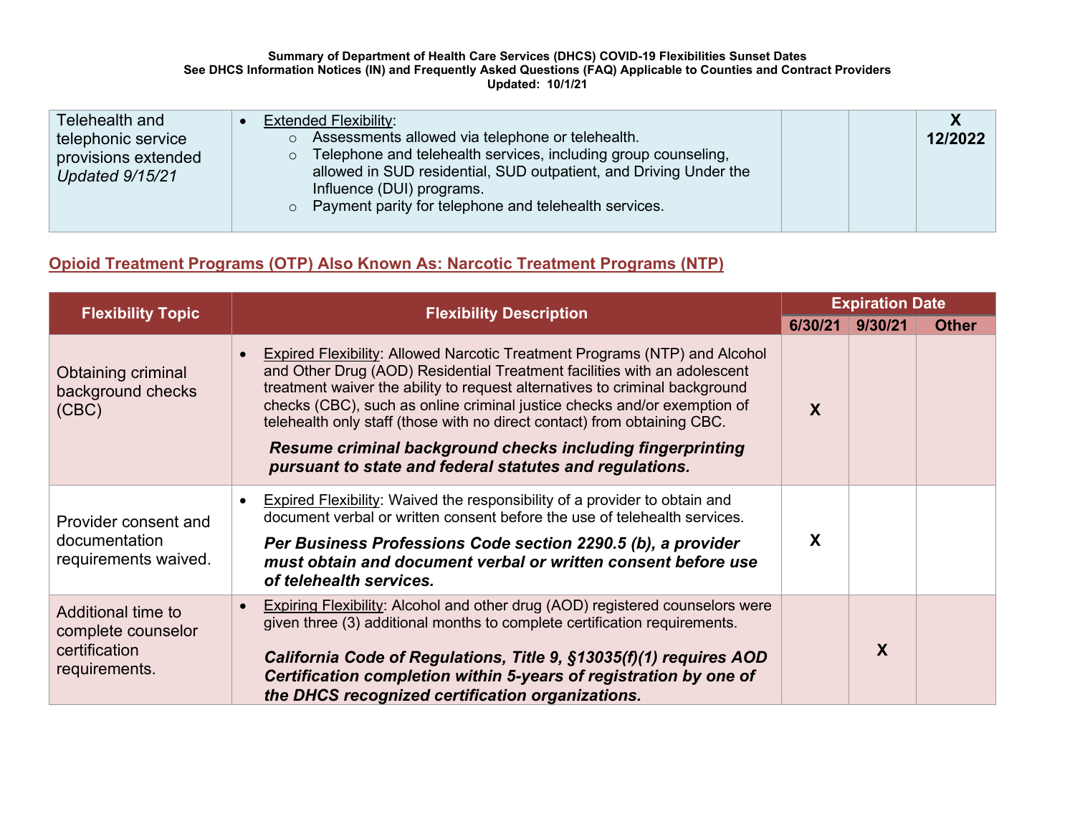#### **Summary of Department of Health Care Services (DHCS) COVID-19 Flexibilities Sunset Dates See DHCS Information Notices (IN) and Frequently Asked Questions (FAQ) Applicable to Counties and Contract Providers Updated: 10/1/21**

| Telehealth and                         | <b>Extended Flexibility:</b>                                                                                                  |         |
|----------------------------------------|-------------------------------------------------------------------------------------------------------------------------------|---------|
| telephonic service                     | Assessments allowed via telephone or telehealth.<br>$\circ$<br>Telephone and telehealth services, including group counseling, | 12/2022 |
| provisions extended<br>Updated 9/15/21 | $\circ$<br>allowed in SUD residential, SUD outpatient, and Driving Under the<br>Influence (DUI) programs.                     |         |
|                                        | $\circ$ Payment parity for telephone and telehealth services.                                                                 |         |

# **Opioid Treatment Programs (OTP) Also Known As: Narcotic Treatment Programs (NTP)**

| <b>Flexibility Topic</b>                                                   | <b>Flexibility Description</b>                                                                                                                                                                                                                                                                                                                                                                                                                                                                                         |         | <b>Expiration Date</b> |              |  |
|----------------------------------------------------------------------------|------------------------------------------------------------------------------------------------------------------------------------------------------------------------------------------------------------------------------------------------------------------------------------------------------------------------------------------------------------------------------------------------------------------------------------------------------------------------------------------------------------------------|---------|------------------------|--------------|--|
|                                                                            |                                                                                                                                                                                                                                                                                                                                                                                                                                                                                                                        | 6/30/21 | 9/30/21                | <b>Other</b> |  |
| Obtaining criminal<br>background checks<br>(CBC)                           | Expired Flexibility: Allowed Narcotic Treatment Programs (NTP) and Alcohol<br>and Other Drug (AOD) Residential Treatment facilities with an adolescent<br>treatment waiver the ability to request alternatives to criminal background<br>checks (CBC), such as online criminal justice checks and/or exemption of<br>telehealth only staff (those with no direct contact) from obtaining CBC.<br>Resume criminal background checks including fingerprinting<br>pursuant to state and federal statutes and regulations. | X       |                        |              |  |
| Provider consent and<br>documentation<br>requirements waived.              | Expired Flexibility: Waived the responsibility of a provider to obtain and<br>$\bullet$<br>document verbal or written consent before the use of telehealth services.<br>Per Business Professions Code section 2290.5 (b), a provider<br>must obtain and document verbal or written consent before use<br>of telehealth services.                                                                                                                                                                                       | X       |                        |              |  |
| Additional time to<br>complete counselor<br>certification<br>requirements. | Expiring Flexibility: Alcohol and other drug (AOD) registered counselors were<br>given three (3) additional months to complete certification requirements.<br>California Code of Regulations, Title 9, §13035(f)(1) requires AOD<br>Certification completion within 5-years of registration by one of<br>the DHCS recognized certification organizations.                                                                                                                                                              |         | X                      |              |  |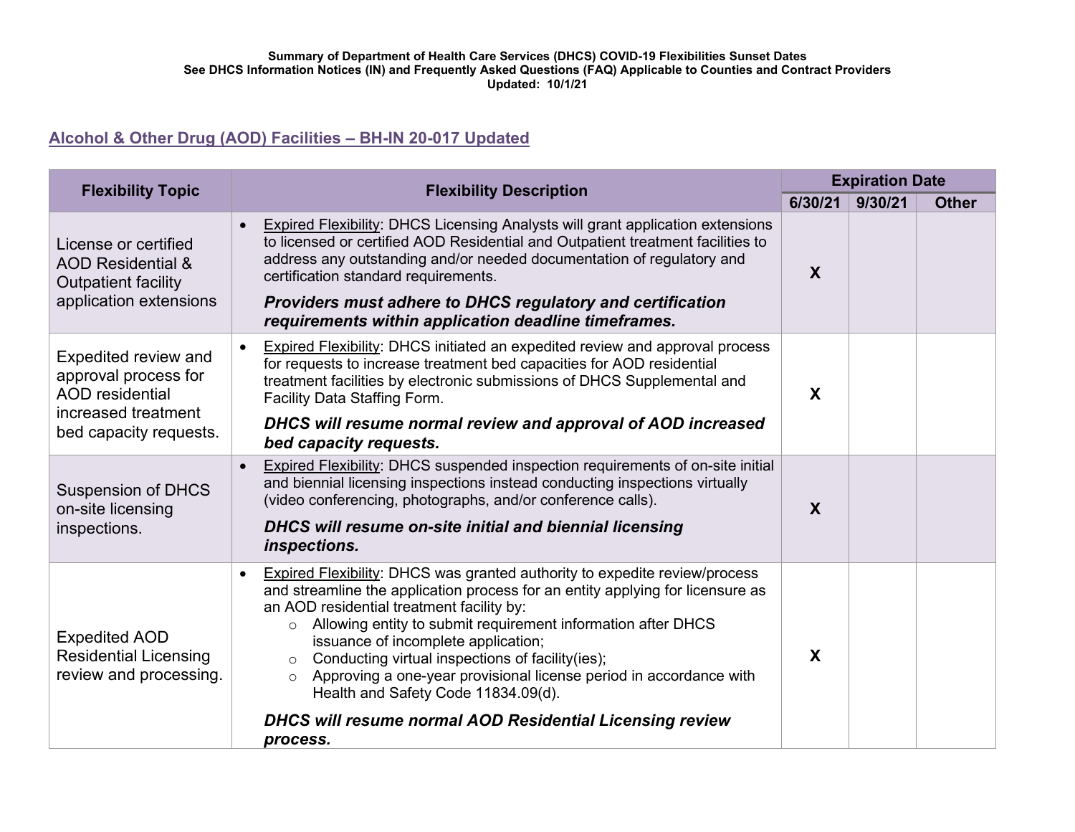#### **Summary of Department of Health Care Services (DHCS) COVID-19 Flexibilities Sunset Dates See DHCS Information Notices (IN) and Frequently Asked Questions (FAQ) Applicable to Counties and Contract Providers Updated: 10/1/21**

# **Alcohol & Other Drug (AOD) Facilities – [BH-IN 20-017](https://www.dhcs.ca.gov/formsandpubs/Documents/BHIN-20-017-Alcohol-and-Other-Drug-Facilities.pdf) Updated**

| <b>Flexibility Topic</b>                                                                                                | <b>Flexibility Description</b>                                                                                                                                                                                                                                                                                                                                                                                                                                                                                                                                                              | <b>Expiration Date</b>    |         |              |
|-------------------------------------------------------------------------------------------------------------------------|---------------------------------------------------------------------------------------------------------------------------------------------------------------------------------------------------------------------------------------------------------------------------------------------------------------------------------------------------------------------------------------------------------------------------------------------------------------------------------------------------------------------------------------------------------------------------------------------|---------------------------|---------|--------------|
|                                                                                                                         |                                                                                                                                                                                                                                                                                                                                                                                                                                                                                                                                                                                             | 6/30/21                   | 9/30/21 | <b>Other</b> |
| License or certified<br><b>AOD Residential &amp;</b><br><b>Outpatient facility</b><br>application extensions            | <b>Expired Flexibility: DHCS Licensing Analysts will grant application extensions</b><br>$\bullet$<br>to licensed or certified AOD Residential and Outpatient treatment facilities to<br>address any outstanding and/or needed documentation of regulatory and<br>certification standard requirements.<br><b>Providers must adhere to DHCS regulatory and certification</b><br>requirements within application deadline timeframes.                                                                                                                                                         | $\boldsymbol{X}$          |         |              |
| Expedited review and<br>approval process for<br><b>AOD</b> residential<br>increased treatment<br>bed capacity requests. | Expired Flexibility: DHCS initiated an expedited review and approval process<br>for requests to increase treatment bed capacities for AOD residential<br>treatment facilities by electronic submissions of DHCS Supplemental and<br>Facility Data Staffing Form.<br>DHCS will resume normal review and approval of AOD increased<br>bed capacity requests.                                                                                                                                                                                                                                  | $\boldsymbol{\mathsf{X}}$ |         |              |
| <b>Suspension of DHCS</b><br>on-site licensing<br>inspections.                                                          | Expired Flexibility: DHCS suspended inspection requirements of on-site initial<br>and biennial licensing inspections instead conducting inspections virtually<br>(video conferencing, photographs, and/or conference calls).<br>DHCS will resume on-site initial and biennial licensing<br>inspections.                                                                                                                                                                                                                                                                                     | $\boldsymbol{X}$          |         |              |
| <b>Expedited AOD</b><br><b>Residential Licensing</b><br>review and processing.                                          | Expired Flexibility: DHCS was granted authority to expedite review/process<br>and streamline the application process for an entity applying for licensure as<br>an AOD residential treatment facility by:<br>Allowing entity to submit requirement information after DHCS<br>$\circ$<br>issuance of incomplete application;<br>Conducting virtual inspections of facility (ies);<br>$\circ$<br>Approving a one-year provisional license period in accordance with<br>$\circ$<br>Health and Safety Code 11834.09(d).<br>DHCS will resume normal AOD Residential Licensing review<br>process. | $\boldsymbol{\mathsf{X}}$ |         |              |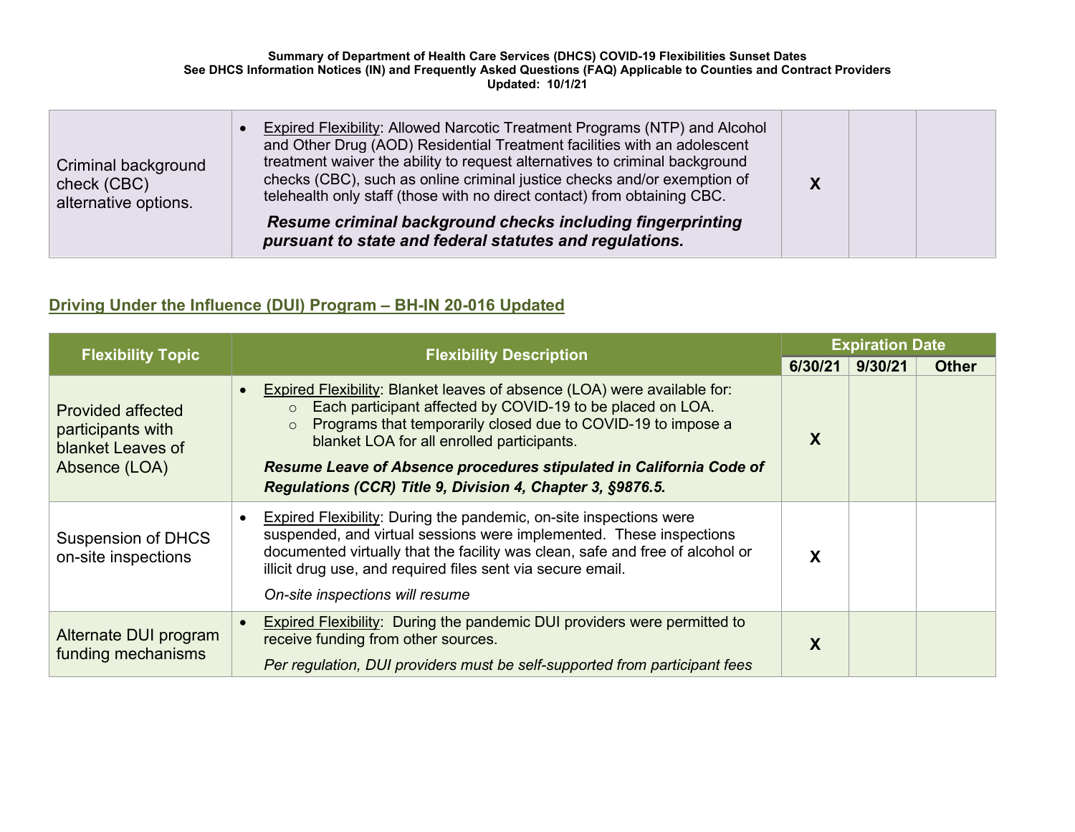| <b>Criminal background</b><br>check (CBC)<br>alternative options. | Expired Flexibility: Allowed Narcotic Treatment Programs (NTP) and Alcohol<br>and Other Drug (AOD) Residential Treatment facilities with an adolescent<br>treatment waiver the ability to request alternatives to criminal background<br>checks (CBC), such as online criminal justice checks and/or exemption of<br>telehealth only staff (those with no direct contact) from obtaining CBC. |  |  |
|-------------------------------------------------------------------|-----------------------------------------------------------------------------------------------------------------------------------------------------------------------------------------------------------------------------------------------------------------------------------------------------------------------------------------------------------------------------------------------|--|--|
|                                                                   | Resume criminal background checks including fingerprinting<br>pursuant to state and federal statutes and regulations.                                                                                                                                                                                                                                                                         |  |  |

# **Driving Under the Influence (DUI) Program – BH-IN 20-016 Updated**

| <b>Flexibility Topic</b>                                                            | <b>Flexibility Description</b>                                                                                                                                                                                                                                                                                                                                                                                               |         | <b>Expiration Date</b> |              |  |
|-------------------------------------------------------------------------------------|------------------------------------------------------------------------------------------------------------------------------------------------------------------------------------------------------------------------------------------------------------------------------------------------------------------------------------------------------------------------------------------------------------------------------|---------|------------------------|--------------|--|
|                                                                                     |                                                                                                                                                                                                                                                                                                                                                                                                                              | 6/30/21 | 9/30/21                | <b>Other</b> |  |
| <b>Provided affected</b><br>participants with<br>blanket Leaves of<br>Absence (LOA) | Expired Flexibility: Blanket leaves of absence (LOA) were available for:<br>$\bullet$<br>Each participant affected by COVID-19 to be placed on LOA.<br>$\circ$<br>Programs that temporarily closed due to COVID-19 to impose a<br>$\circ$<br>blanket LOA for all enrolled participants.<br>Resume Leave of Absence procedures stipulated in California Code of<br>Regulations (CCR) Title 9, Division 4, Chapter 3, §9876.5. | X       |                        |              |  |
| <b>Suspension of DHCS</b><br>on-site inspections                                    | Expired Flexibility: During the pandemic, on-site inspections were<br>$\bullet$<br>suspended, and virtual sessions were implemented. These inspections<br>documented virtually that the facility was clean, safe and free of alcohol or<br>illicit drug use, and required files sent via secure email.<br>On-site inspections will resume                                                                                    | χ       |                        |              |  |
| Alternate DUI program<br>funding mechanisms                                         | <b>Expired Flexibility:</b> During the pandemic DUI providers were permitted to<br>receive funding from other sources.<br>Per regulation, DUI providers must be self-supported from participant fees                                                                                                                                                                                                                         | X       |                        |              |  |